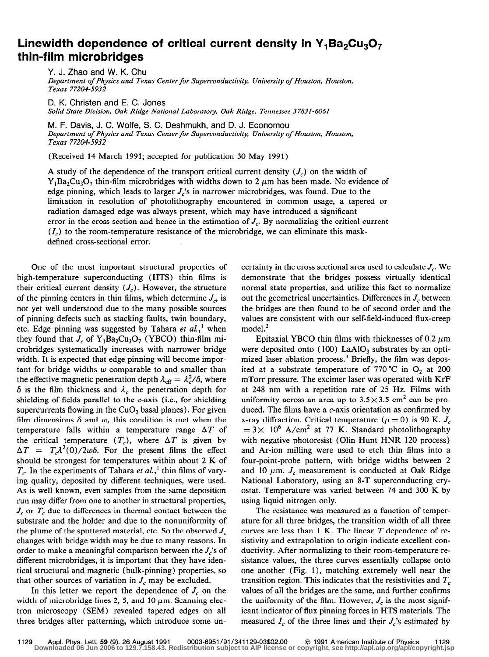## Linewidth dependence of critical current density in  $Y_1Ba_2Cu_3O_7$ thin-film microbridges

Y. J. Zhao and W. K. Chu

Department of Physics and Texas Center for Superconductivity, University of Houston, Houston, Texas 77204-5932

D. K. Christen and E. C. Jones Solid State Division, Oak Ridge National Laboratory, Oak Ridge, Tennessee 37831-6061

M. F. Davis, J. C. Wolfe, S. C. Deshmukh, and D. J. Economou Department of Physics and Texas Center for Superconductivity, University of Houston, Houston, Texas 77204-5932

(Received 14 March 1991; accepted for publication 30 May 1991)

A study of the dependence of the transport critical current density  $(J_c)$  on the width of  $Y_1Ba_2Cu_3O_7$  thin-film microbridges with widths down to 2  $\mu$ m has been made. No evidence of edge pinning, which leads to larger  $J_c$ 's in narrower microbridges, was found. Due to the limitation in resolution of photolithography encountered in common usage, a tapered or radiation damaged edge was always present, which may have introduced a significant error in the cross section and hence in the estimation of  $J_c$ . By normalizing the critical current  $(I_c)$  to the room-temperature resistance of the microbridge, we can eliminate this maskdefined cross-sectional error.

One of the most important structural properties of high-temperature superconducting (HTS) thin films is their critical current density  $(J_c)$ . However, the structure of the pinning centers in thin films, which determine  $J_{\alpha}$  is not yet well understood due to the many possible sources of pinning defects such as stacking faults, twin boundary, etc. Edge pinning was suggested by Tahara et  $al, '$  when they found that  $J_c$  of  $Y_1Ba_2Cu_3O_7$  (YBCO) thin-film microbridges systematically increases with narrower bridge width. It is expected that edge pinning will become important for bridge widths  $w$  comparable to and smaller than the effective magnetic penetration depth  $\lambda_{\text{eff}} = \lambda_c^2/\delta$ , where  $\delta$  is the film thickness and  $\lambda_c$  the penetration depth for shielding of fields parallel to the c-axis (i.e., for shielding supercurrents flowing in the  $CuO<sub>2</sub>$  basal planes). For given film dimensions  $\delta$  and  $w$ , this condition is met when the temperature falls within a temperature range  $\Delta T$  of the critical temperature  $(T_c)$ , where  $\Delta T$  is given by  $\Delta T = T \lambda^2(0)/2w\delta$ . For the present films the effect should be strongest for temperatures within about 2 K of  $T_c$ . In the experiments of Tahara et al.,<sup>1</sup> thin films of varying quality, deposited by different techniques, were used. As is well known, even samples from the same deposition run may differ from one to another in structural properties,  $J_c$  or  $T_c$  due to differences in thermal contact between the substrate and the holder and due to the nonuniformity of the plume of the sputtered material, etc. So the observed  $J_c$ changes with bridge width may be due to many reasons. In order to make a meaningful comparison between the  $J_c$ 's of different microbridges, it is important that they have identical structural and magnetic (bulk-pinning) properties, so that other sources of variation in  $J_c$  may be excluded.

In this letter we report the dependence of  $J_c$  on the width of microbridge lines 2, 5, and 10  $\mu$ m. Scanning electron microscopy (SEM) revealed tapered edges on all three bridges after patterning, which introduce some uncertainty in the cross sectional area used to calculate  $J_c$ . We demonstrate that the bridges possess virtually identical normal state properties, and utilize this fact to normalize out the geometrical uncertainties. Differences in  $J_c$  between the bridges are then found to be of second order and the values are consistent with our self-field-induced flux-creep model.<sup>2</sup>

Epitaxial YBCO thin films with thicknesses of 0.2  $\mu$ m were deposited onto  $(100)$  LaAlO<sub>3</sub> substrates by an optimized laser ablation process.<sup>3</sup> Briefly, the film was deposited at a substrate temperature of 770 °C in  $O_2$  at 200 mTorr pressure. The excimer laser was operated with KrF at 248 nm with a repetition rate of 25 Hz. Films with uniformity across an area up to  $3.5 \times 3.5$  cm<sup>2</sup> can be produced. The films have a  $c$ -axis orientation as confirmed by x-ray diffraction. Critical temperature ( $\rho = 0$ ) is 90 K.  $J_c$  $= 3 \times 10^6$  A/cm<sup>2</sup> at 77 K. Standard photolithography with negative photoresist (Olin Hunt HNR 120 process) and Ar-ion milling were used to etch thin films into a four-point-probe pattern, with bridge widths between 2 and 10  $\mu$ m.  $J_c$  measurement is conducted at Oak Ridge National Laboratory, using an 8-T superconducting cryostat. Temperature was varied between 74 and 300 K by using liquid nitrogen only.

The resistance was measured as a function of temperature for all three bridges, the transition width of all three curves are less than  $1$  K. The linear  $T$  dependence of resistivity and extrapolation to origin indicate excellent conductivity. After normalizing to their room-temperature resistance values, the three curves essentially collapse onto one another (Fig. l), matching extremely well near the transition region. This indicates that the resistivities and  $T_c$ values of all the bridges are the same, and further confirms the uniformity of the film. However,  $J_c$  is the most significant indicator of flux pinning forces in HTS materials. The measured  $I_c$  of the three lines and their  $J_c$ 's estimated by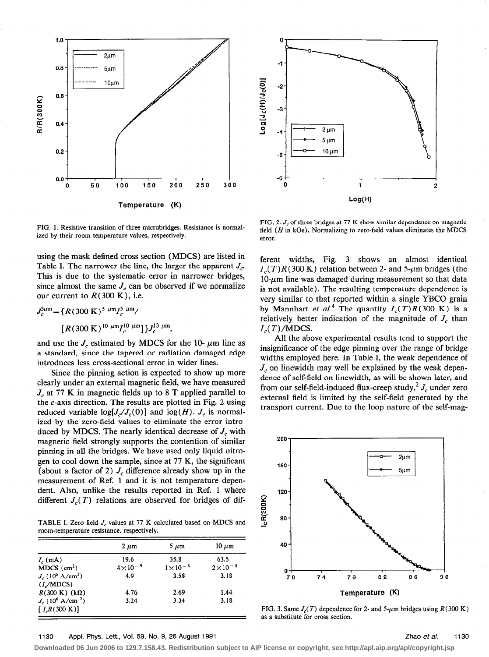



FIG. 1. Resistive transition of three microbridges. Resistance is normalized by their room temperature values, respectively.

using the mask defined cross section (MDCS) are listed in Table I. The narrower the line, the larger the apparent  $J_c$ . This is due to the systematic error in narrower bridges, since almost the same  $J_c$  can be observed if we normalize our current to  $R(300 \text{ K})$ , i.e.

$$
J_c^{\rm 5\mu m} = \{R(300\text{ K})^{5\mu m}I_c^{\rm 5\mu m}/
$$
  
[ $R(300\text{ K})^{10\mu m}I_c^{10\mu m}]$ } $J_c^{10\mu m}$ ,

and use the  $J_c$  estimated by MDCS for the 10-  $\mu$ m line as a standard, since the tapered or radiation damaged edge introduces less cross-sectional error in wider lines.

Since the pinning action is expected to show up more clearly under an external magnetic field, we have measured  $J_c$  at 77 K in magnetic fields up to 8 T applied parallel to the c-axis direction. The results are plotted in Fig. 2 using reduced variable  $log[J_c/J_c(0)]$  and  $log(H)$ .  $J_c$  is normalized by the zero-field values to eliminate the error introduced by MDCS. The nearly identical decrease of  $J_c$  with magnetic field strongly supports the contention of similar pinning in all the bridges. We have used only liquid nitrogen to cool down the sample, since at 77 K, the significant (about a factor of 2)  $J_c$  difference already show up in the measurement of Ref. 1 and it is not temperature dependent. Also, unlike the results reported in Ref. 1 where different  $J_c(T)$  relations are observed for bridges of dif-

TABLE I. Zero field  $J_c$  values at 77 K calculated based on MDCS and room-temperature resistance, respectively.

|                             | $2 \mu m$          | $5 \mu m$          | $10 \mu m$         |
|-----------------------------|--------------------|--------------------|--------------------|
| $I_c$ (mA)                  | 19.6               | 35.8               | 63.5               |
| $MDCS$ (cm <sup>2</sup> )   | $4 \times 10^{-9}$ | $1 \times 10^{-8}$ | $2 \times 10^{-8}$ |
| $J_c (10^6 \text{ A/cm}^2)$ | 4.9                | 3.58               | 3.18               |
| (I/MDCS)                    |                    |                    |                    |
| $R(300 \text{ K})$ (kΩ)     | 4.76               | 2.69               | 1.44               |
| $J_c(10^6 \text{ A/cm}^2)$  | 3.24               | 3.34               | 3.18               |
| $[ I, R(300 \text{ K})]$    |                    |                    |                    |

FIG, 2.  $J_c$  of three bridges at 77 K show similar dependence on magnetic field ( $H$  in kOe). Normalizing to zero-field values eliminates the MDCS error.

ferent widths, Fig. 3 shows an almost identical  $I_c(T)R(300 \text{ K})$  relation between 2- and 5- $\mu$ m bridges (the  $10$ - $\mu$ m line was damaged during measurement so that data is not available). The resulting temperature dependence is very similar to that reported within a single YBCQ grain by Mannhart et al.<sup>4</sup> The quantity  $I_c(T)R(300 \text{ K})$  is a relatively better indication of the magnitude of  $J_c$  than  $I_c(T)/MDCS$ .

All the above experimental results tend to support the insignificance of the edge pinning over the range of bridge widths employed here. In Table I, the weak dependence of  $J_c$  on linewidth may well be explained by the weak dependence of self-field on linewidth, as will be shown later, and from our self-field-induced flux-creep study,  $\frac{1}{2} J_c$  under zero external field is limited by the self-field generated by the transport current. Due to the loop nature of the self-mag-



FIG. 3. Same  $J_c(T)$  dependence for 2- and 5- $\mu$ m bridges using  $R(300 \text{ K})$ as a substitute for cross section,

## 1130 Appl. Phys. Lett., Vol. 59, No. 9, 26 August 1991 **Zhao et al.** 1130

**Downloaded 06 Jun 2006 to 129.7.158.43. Redistribution subject to AIP license or copyright, see http://apl.aip.org/apl/copyright.jsp**